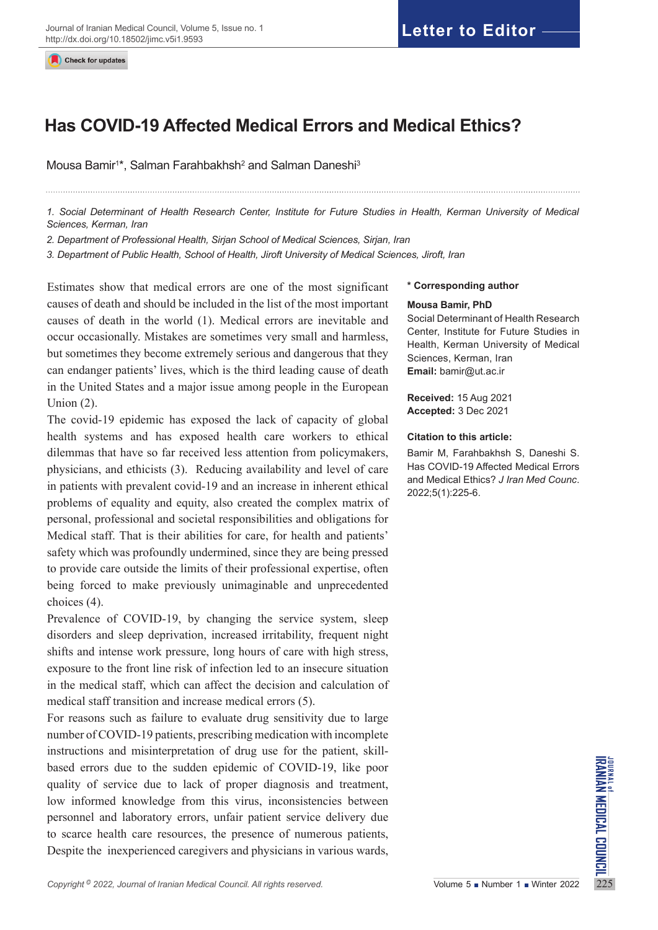**Check for updates** 

# **Has COVID-19 Affected Medical Errors and Medical Ethics?**

Mousa Bamir1\*, Salman Farahbakhsh<sup>2</sup> and Salman Daneshi<sup>3</sup>

*1. Social Determinant of Health Research Center, Institute for Future Studies in Health, Kerman University of Medical Sciences, Kerman, Iran*

*2. Department of Professional Health, Sirjan School of Medical Sciences, Sirjan, Iran*

*3. Department of Public Health, School of Health, Jiroft University of Medical Sciences, Jiroft, Iran*

Estimates show that medical errors are one of the most significant causes of death and should be included in the list of the most important causes of death in the world (1). Medical errors are inevitable and occur occasionally. Mistakes are sometimes very small and harmless, but sometimes they become extremely serious and dangerous that they can endanger patients' lives, which is the third leading cause of death in the United States and a major issue among people in the European Union (2).

The covid-19 epidemic has exposed the lack of capacity of global health systems and has exposed health care workers to ethical dilemmas that have so far received less attention from policymakers, physicians, and ethicists (3). Reducing availability and level of care in patients with prevalent covid-19 and an increase in inherent ethical problems of equality and equity, also created the complex matrix of personal, professional and societal responsibilities and obligations for Medical staff. That is their abilities for care, for health and patients' safety which was profoundly undermined, since they are being pressed to provide care outside the limits of their professional expertise, often being forced to make previously unimaginable and unprecedented choices (4).

Prevalence of COVID-19, by changing the service system, sleep disorders and sleep deprivation, increased irritability, frequent night shifts and intense work pressure, long hours of care with high stress, exposure to the front line risk of infection led to an insecure situation in the medical staff, which can affect the decision and calculation of medical staff transition and increase medical errors (5).

based errors due to the sudden epidemic of COVID-19, like poor<br>
quality of service due to lack of proper diagnosis and treatment,<br>
low informed knowledge from this virus, inconsistencies between<br>
personnel and laboratory For reasons such as failure to evaluate drug sensitivity due to large number of COVID-19 patients, prescribing medication with incomplete instructions and misinterpretation of drug use for the patient, skillbased errors due to the sudden epidemic of COVID-19, like poor quality of service due to lack of proper diagnosis and treatment, low informed knowledge from this virus, inconsistencies between personnel and laboratory errors, unfair patient service delivery due to scarce health care resources, the presence of numerous patients, Despite the inexperienced caregivers and physicians in various wards,

### **\* Corresponding author**

#### **Mousa Bamir, PhD**

Social Determinant of Health Research Center, Institute for Future Studies in Health, Kerman University of Medical Sciences, Kerman, Iran **Email:** bamir@ut.ac.ir

**Received:** 15 Aug 2021 **Accepted:** 3 Dec 2021

## **Citation to this article:**

Bamir M, Farahbakhsh S, Daneshi S. Has COVID-19 Affected Medical Errors and Medical Ethics? *J Iran Med Counc*. 2022;5(1):225-6.